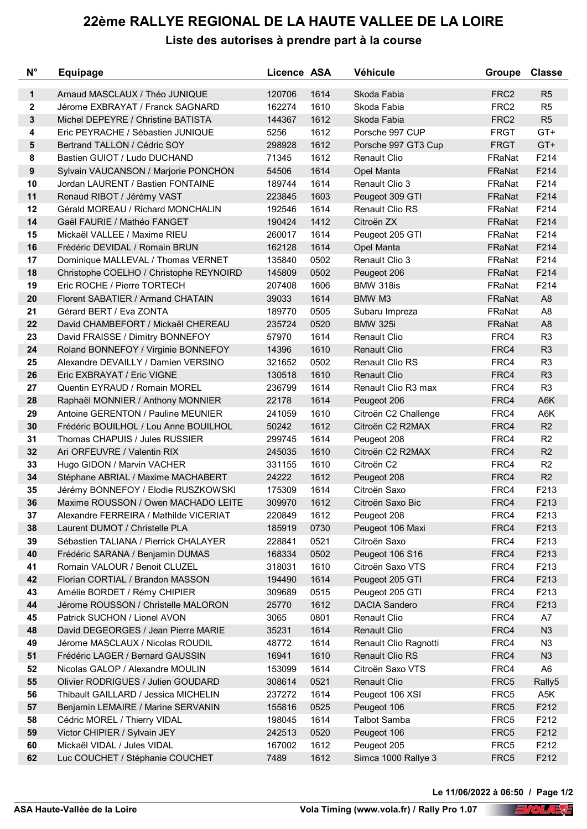## **22ème RALLYE REGIONAL DE LA HAUTE VALLEE DE LA LOIRE**

**Liste des autorises à prendre part à la course**

| Arnaud MASCLAUX / Théo JUNIQUE<br>1614<br>R <sub>5</sub><br>1<br>120706<br>Skoda Fabia<br>FRC <sub>2</sub><br>2<br>1610<br>Jérome EXBRAYAT / Franck SAGNARD<br>162274<br>Skoda Fabia<br>FRC <sub>2</sub><br>R <sub>5</sub><br>3<br>Michel DEPEYRE / Christine BATISTA<br>1612<br>FRC <sub>2</sub><br>R <sub>5</sub><br>144367<br>Skoda Fabia<br>$GT+$<br>Eric PEYRACHE / Sébastien JUNIQUE<br>5256<br>1612<br>Porsche 997 CUP<br><b>FRGT</b><br>4<br>$GT+$<br>Bertrand TALLON / Cédric SOY<br>298928<br>1612<br><b>FRGT</b><br>5<br>Porsche 997 GT3 Cup<br>F214<br>8<br>Bastien GUIOT / Ludo DUCHAND<br>71345<br>1612<br>FRaNat<br><b>Renault Clio</b><br>$\boldsymbol{9}$<br>F214<br>54506<br>1614<br>FRaNat<br>Sylvain VAUCANSON / Marjorie PONCHON<br>Opel Manta<br>10<br>1614<br>F214<br>189744<br><b>Renault Clio 3</b><br>FRaNat<br>Jordan LAURENT / Bastien FONTAINE<br>F214<br>11<br>1603<br>Renaud RIBOT / Jérémy VAST<br>223845<br>Peugeot 309 GTI<br>FRaNat<br>1614<br>F214<br>12<br>Gérald MOREAU / Richard MONCHALIN<br>192546<br><b>Renault Clio RS</b><br>FRaNat<br>F214<br>14<br>Gaël FAURIE / Mathéo FANGET<br>190424<br>1412<br>Citroën ZX<br>FRaNat<br>F214<br>15<br>Mickaël VALLEE / Maxime RIEU<br>260017<br>1614<br>FRaNat<br>Peugeot 205 GTI<br>F214<br>16<br>Frédéric DEVIDAL / Romain BRUN<br>162128<br>1614<br>FRaNat<br>Opel Manta<br>0502<br>F214<br>17<br>Dominique MALLEVAL / Thomas VERNET<br>135840<br>Renault Clio 3<br>FRaNat<br>F214<br>18<br>145809<br>0502<br>Christophe COELHO / Christophe REYNOIRD<br>Peugeot 206<br>FRaNat<br>F214<br>19<br>Eric ROCHE / Pierre TORTECH<br>207408<br>1606<br>BMW 318is<br>FRaNat<br>1614<br>A <sub>8</sub><br>20<br>Florent SABATIER / Armand CHATAIN<br>39033<br>BMW M3<br>FRaNat<br>21<br>Gérard BERT / Eva ZONTA<br>0505<br>FRaNat<br>A <sub>8</sub><br>189770<br>Subaru Impreza<br>22<br>David CHAMBEFORT / Mickaël CHEREAU<br>0520<br><b>BMW 325i</b><br>A <sub>8</sub><br>235724<br>FRaNat<br>1614<br>R <sub>3</sub><br>23<br>57970<br><b>Renault Clio</b><br>FRC4<br>David FRAISSE / Dimitry BONNEFOY<br>24<br>Roland BONNEFOY / Virginie BONNEFOY<br>1610<br>R <sub>3</sub><br>14396<br><b>Renault Clio</b><br>FRC4<br>25<br>Alexandre DEVAILLY / Damien VERSINO<br>321652<br>0502<br><b>Renault Clio RS</b><br>FRC4<br>R <sub>3</sub><br>R <sub>3</sub><br>26<br>130518<br>1610<br><b>Renault Clio</b><br>FRC4<br>Eric EXBRAYAT / Eric VIGNE<br>R <sub>3</sub><br>27<br>Quentin EYRAUD / Romain MOREL<br>1614<br>Renault Clio R3 max<br>FRC4<br>236799<br>A6K<br>28<br>22178<br>1614<br>FRC4<br>Raphaël MONNIER / Anthony MONNIER<br>Peugeot 206<br>1610<br>A6K<br>29<br>Antoine GERENTON / Pauline MEUNIER<br>241059<br>FRC4<br>Citroën C2 Challenge<br>R2<br>30<br>Frédéric BOUILHOL / Lou Anne BOUILHOL<br>50242<br>1612<br>Citroën C2 R2MAX<br>FRC4<br>R <sub>2</sub><br>31<br>Thomas CHAPUIS / Jules RUSSIER<br>299745<br>1614<br>FRC4<br>Peugeot 208<br>R2<br>32<br>245035<br>1610<br>Citroën C2 R2MAX<br>FRC4<br>Ari ORFEUVRE / Valentin RIX<br>R <sub>2</sub><br>33<br>1610<br>Citroën C2<br>FRC4<br>Hugo GIDON / Marvin VACHER<br>331155<br>R2<br>34<br>24222<br>1612<br>FRC4<br>Stéphane ABRIAL / Maxime MACHABERT<br>Peugeot 208<br>1614<br>F213<br>35<br>175309<br>Citroën Saxo<br>FRC4<br>Jérémy BONNEFOY / Elodie RUSZKOWSKI<br>FRC4<br>F213<br>36<br>Maxime ROUSSON / Owen MACHADO LEITE<br>309970<br>1612<br>Citroën Saxo Bic<br>37<br>Alexandre FERREIRA / Mathilde VICERIAT<br>220849<br>1612<br>FRC4<br>F213<br>Peugeot 208<br>F213<br>38<br>Laurent DUMOT / Christelle PLA<br>185919<br>0730<br>Peugeot 106 Maxi<br>FRC4<br>39<br>228841<br>0521<br>Citroën Saxo<br>FRC4<br>F213<br>Sébastien TALIANA / Pierrick CHALAYER<br>40<br>168334<br>0502<br>Peugeot 106 S16<br>FRC4<br>F213<br>Frédéric SARANA / Benjamin DUMAS<br>318031<br>1610<br>Citroën Saxo VTS<br>FRC4<br>F213<br>41<br>Romain VALOUR / Benoit CLUZEL<br>F213<br>42<br>1614<br>Peugeot 205 GTI<br>FRC4<br>Florian CORTIAL / Brandon MASSON<br>194490<br>43<br>309689<br>0515<br>Peugeot 205 GTI<br>FRC4<br>F213<br>Amélie BORDET / Rémy CHIPIER<br><b>DACIA Sandero</b><br>F213<br>44<br>Jérome ROUSSON / Christelle MALORON<br>25770<br>1612<br>FRC4<br>0801<br>Renault Clio<br>A7<br>45<br>Patrick SUCHON / Lionel AVON<br>3065<br>FRC4<br>48<br>David DEGEORGES / Jean Pierre MARIE<br>35231<br>1614<br>Renault Clio<br>FRC4<br>N3<br>Jérome MASCLAUX / Nicolas ROUDIL<br>48772<br>1614<br>Renault Clio Ragnotti<br>FRC4<br>N <sub>3</sub><br>49<br>51<br>Frédéric LAGER / Bernard GAUSSIN<br>16941<br>1610<br>Renault Clio RS<br>FRC4<br>N3<br>52<br>Nicolas GALOP / Alexandre MOULIN<br>153099<br>1614<br>Citroën Saxo VTS<br>FRC4<br>A <sub>6</sub><br>55<br>0521<br><b>Renault Clio</b><br>FRC5<br>Rally5<br>Olivier RODRIGUES / Julien GOUDARD<br>308614<br>56<br>Peugeot 106 XSI<br>237272<br>1614<br>FRC5<br>A5K<br>Thibault GAILLARD / Jessica MICHELIN<br>F212<br>57<br>155816<br>0525<br>Peugeot 106<br>FRC5<br>Benjamin LEMAIRE / Marine SERVANIN<br>1614<br><b>Talbot Samba</b><br>FRC5<br>F212<br>58<br>Cédric MOREL / Thierry VIDAL<br>198045<br>59<br>Victor CHIPIER / Sylvain JEY<br>242513<br>0520<br>Peugeot 106<br>FRC5<br>F212<br>60<br>167002<br>1612<br>Peugeot 205<br>FRC5<br>F212<br>Mickaël VIDAL / Jules VIDAL | $N^{\circ}$ | Equipage                        | Licence ASA |      | Véhicule            | <b>Groupe</b> | <b>Classe</b> |
|-------------------------------------------------------------------------------------------------------------------------------------------------------------------------------------------------------------------------------------------------------------------------------------------------------------------------------------------------------------------------------------------------------------------------------------------------------------------------------------------------------------------------------------------------------------------------------------------------------------------------------------------------------------------------------------------------------------------------------------------------------------------------------------------------------------------------------------------------------------------------------------------------------------------------------------------------------------------------------------------------------------------------------------------------------------------------------------------------------------------------------------------------------------------------------------------------------------------------------------------------------------------------------------------------------------------------------------------------------------------------------------------------------------------------------------------------------------------------------------------------------------------------------------------------------------------------------------------------------------------------------------------------------------------------------------------------------------------------------------------------------------------------------------------------------------------------------------------------------------------------------------------------------------------------------------------------------------------------------------------------------------------------------------------------------------------------------------------------------------------------------------------------------------------------------------------------------------------------------------------------------------------------------------------------------------------------------------------------------------------------------------------------------------------------------------------------------------------------------------------------------------------------------------------------------------------------------------------------------------------------------------------------------------------------------------------------------------------------------------------------------------------------------------------------------------------------------------------------------------------------------------------------------------------------------------------------------------------------------------------------------------------------------------------------------------------------------------------------------------------------------------------------------------------------------------------------------------------------------------------------------------------------------------------------------------------------------------------------------------------------------------------------------------------------------------------------------------------------------------------------------------------------------------------------------------------------------------------------------------------------------------------------------------------------------------------------------------------------------------------------------------------------------------------------------------------------------------------------------------------------------------------------------------------------------------------------------------------------------------------------------------------------------------------------------------------------------------------------------------------------------------------------------------------------------------------------------------------------------------------------------------------------------------------------------------------------------------------------------------------------------------------------------------------------------------------------------------------------------------------------------------------------------------------------------------------------------------------------------------------------------------------------------------------------------------------------------------------------------------------------------------------------------------------------------------------------------------------------------------------------------------------------------------------------------------------------------------------------------------------------------------------------------------------------------------------------------------------------------------------------------------------------------------------------------------------------------------------------------------------------------------------------------------------------------------------|-------------|---------------------------------|-------------|------|---------------------|---------------|---------------|
|                                                                                                                                                                                                                                                                                                                                                                                                                                                                                                                                                                                                                                                                                                                                                                                                                                                                                                                                                                                                                                                                                                                                                                                                                                                                                                                                                                                                                                                                                                                                                                                                                                                                                                                                                                                                                                                                                                                                                                                                                                                                                                                                                                                                                                                                                                                                                                                                                                                                                                                                                                                                                                                                                                                                                                                                                                                                                                                                                                                                                                                                                                                                                                                                                                                                                                                                                                                                                                                                                                                                                                                                                                                                                                                                                                                                                                                                                                                                                                                                                                                                                                                                                                                                                                                                                                                                                                                                                                                                                                                                                                                                                                                                                                                                                                                                                                                                                                                                                                                                                                                                                                                                                                                                                                                                                                                   |             |                                 |             |      |                     |               |               |
|                                                                                                                                                                                                                                                                                                                                                                                                                                                                                                                                                                                                                                                                                                                                                                                                                                                                                                                                                                                                                                                                                                                                                                                                                                                                                                                                                                                                                                                                                                                                                                                                                                                                                                                                                                                                                                                                                                                                                                                                                                                                                                                                                                                                                                                                                                                                                                                                                                                                                                                                                                                                                                                                                                                                                                                                                                                                                                                                                                                                                                                                                                                                                                                                                                                                                                                                                                                                                                                                                                                                                                                                                                                                                                                                                                                                                                                                                                                                                                                                                                                                                                                                                                                                                                                                                                                                                                                                                                                                                                                                                                                                                                                                                                                                                                                                                                                                                                                                                                                                                                                                                                                                                                                                                                                                                                                   |             |                                 |             |      |                     |               |               |
|                                                                                                                                                                                                                                                                                                                                                                                                                                                                                                                                                                                                                                                                                                                                                                                                                                                                                                                                                                                                                                                                                                                                                                                                                                                                                                                                                                                                                                                                                                                                                                                                                                                                                                                                                                                                                                                                                                                                                                                                                                                                                                                                                                                                                                                                                                                                                                                                                                                                                                                                                                                                                                                                                                                                                                                                                                                                                                                                                                                                                                                                                                                                                                                                                                                                                                                                                                                                                                                                                                                                                                                                                                                                                                                                                                                                                                                                                                                                                                                                                                                                                                                                                                                                                                                                                                                                                                                                                                                                                                                                                                                                                                                                                                                                                                                                                                                                                                                                                                                                                                                                                                                                                                                                                                                                                                                   |             |                                 |             |      |                     |               |               |
|                                                                                                                                                                                                                                                                                                                                                                                                                                                                                                                                                                                                                                                                                                                                                                                                                                                                                                                                                                                                                                                                                                                                                                                                                                                                                                                                                                                                                                                                                                                                                                                                                                                                                                                                                                                                                                                                                                                                                                                                                                                                                                                                                                                                                                                                                                                                                                                                                                                                                                                                                                                                                                                                                                                                                                                                                                                                                                                                                                                                                                                                                                                                                                                                                                                                                                                                                                                                                                                                                                                                                                                                                                                                                                                                                                                                                                                                                                                                                                                                                                                                                                                                                                                                                                                                                                                                                                                                                                                                                                                                                                                                                                                                                                                                                                                                                                                                                                                                                                                                                                                                                                                                                                                                                                                                                                                   |             |                                 |             |      |                     |               |               |
|                                                                                                                                                                                                                                                                                                                                                                                                                                                                                                                                                                                                                                                                                                                                                                                                                                                                                                                                                                                                                                                                                                                                                                                                                                                                                                                                                                                                                                                                                                                                                                                                                                                                                                                                                                                                                                                                                                                                                                                                                                                                                                                                                                                                                                                                                                                                                                                                                                                                                                                                                                                                                                                                                                                                                                                                                                                                                                                                                                                                                                                                                                                                                                                                                                                                                                                                                                                                                                                                                                                                                                                                                                                                                                                                                                                                                                                                                                                                                                                                                                                                                                                                                                                                                                                                                                                                                                                                                                                                                                                                                                                                                                                                                                                                                                                                                                                                                                                                                                                                                                                                                                                                                                                                                                                                                                                   |             |                                 |             |      |                     |               |               |
|                                                                                                                                                                                                                                                                                                                                                                                                                                                                                                                                                                                                                                                                                                                                                                                                                                                                                                                                                                                                                                                                                                                                                                                                                                                                                                                                                                                                                                                                                                                                                                                                                                                                                                                                                                                                                                                                                                                                                                                                                                                                                                                                                                                                                                                                                                                                                                                                                                                                                                                                                                                                                                                                                                                                                                                                                                                                                                                                                                                                                                                                                                                                                                                                                                                                                                                                                                                                                                                                                                                                                                                                                                                                                                                                                                                                                                                                                                                                                                                                                                                                                                                                                                                                                                                                                                                                                                                                                                                                                                                                                                                                                                                                                                                                                                                                                                                                                                                                                                                                                                                                                                                                                                                                                                                                                                                   |             |                                 |             |      |                     |               |               |
|                                                                                                                                                                                                                                                                                                                                                                                                                                                                                                                                                                                                                                                                                                                                                                                                                                                                                                                                                                                                                                                                                                                                                                                                                                                                                                                                                                                                                                                                                                                                                                                                                                                                                                                                                                                                                                                                                                                                                                                                                                                                                                                                                                                                                                                                                                                                                                                                                                                                                                                                                                                                                                                                                                                                                                                                                                                                                                                                                                                                                                                                                                                                                                                                                                                                                                                                                                                                                                                                                                                                                                                                                                                                                                                                                                                                                                                                                                                                                                                                                                                                                                                                                                                                                                                                                                                                                                                                                                                                                                                                                                                                                                                                                                                                                                                                                                                                                                                                                                                                                                                                                                                                                                                                                                                                                                                   |             |                                 |             |      |                     |               |               |
|                                                                                                                                                                                                                                                                                                                                                                                                                                                                                                                                                                                                                                                                                                                                                                                                                                                                                                                                                                                                                                                                                                                                                                                                                                                                                                                                                                                                                                                                                                                                                                                                                                                                                                                                                                                                                                                                                                                                                                                                                                                                                                                                                                                                                                                                                                                                                                                                                                                                                                                                                                                                                                                                                                                                                                                                                                                                                                                                                                                                                                                                                                                                                                                                                                                                                                                                                                                                                                                                                                                                                                                                                                                                                                                                                                                                                                                                                                                                                                                                                                                                                                                                                                                                                                                                                                                                                                                                                                                                                                                                                                                                                                                                                                                                                                                                                                                                                                                                                                                                                                                                                                                                                                                                                                                                                                                   |             |                                 |             |      |                     |               |               |
|                                                                                                                                                                                                                                                                                                                                                                                                                                                                                                                                                                                                                                                                                                                                                                                                                                                                                                                                                                                                                                                                                                                                                                                                                                                                                                                                                                                                                                                                                                                                                                                                                                                                                                                                                                                                                                                                                                                                                                                                                                                                                                                                                                                                                                                                                                                                                                                                                                                                                                                                                                                                                                                                                                                                                                                                                                                                                                                                                                                                                                                                                                                                                                                                                                                                                                                                                                                                                                                                                                                                                                                                                                                                                                                                                                                                                                                                                                                                                                                                                                                                                                                                                                                                                                                                                                                                                                                                                                                                                                                                                                                                                                                                                                                                                                                                                                                                                                                                                                                                                                                                                                                                                                                                                                                                                                                   |             |                                 |             |      |                     |               |               |
|                                                                                                                                                                                                                                                                                                                                                                                                                                                                                                                                                                                                                                                                                                                                                                                                                                                                                                                                                                                                                                                                                                                                                                                                                                                                                                                                                                                                                                                                                                                                                                                                                                                                                                                                                                                                                                                                                                                                                                                                                                                                                                                                                                                                                                                                                                                                                                                                                                                                                                                                                                                                                                                                                                                                                                                                                                                                                                                                                                                                                                                                                                                                                                                                                                                                                                                                                                                                                                                                                                                                                                                                                                                                                                                                                                                                                                                                                                                                                                                                                                                                                                                                                                                                                                                                                                                                                                                                                                                                                                                                                                                                                                                                                                                                                                                                                                                                                                                                                                                                                                                                                                                                                                                                                                                                                                                   |             |                                 |             |      |                     |               |               |
|                                                                                                                                                                                                                                                                                                                                                                                                                                                                                                                                                                                                                                                                                                                                                                                                                                                                                                                                                                                                                                                                                                                                                                                                                                                                                                                                                                                                                                                                                                                                                                                                                                                                                                                                                                                                                                                                                                                                                                                                                                                                                                                                                                                                                                                                                                                                                                                                                                                                                                                                                                                                                                                                                                                                                                                                                                                                                                                                                                                                                                                                                                                                                                                                                                                                                                                                                                                                                                                                                                                                                                                                                                                                                                                                                                                                                                                                                                                                                                                                                                                                                                                                                                                                                                                                                                                                                                                                                                                                                                                                                                                                                                                                                                                                                                                                                                                                                                                                                                                                                                                                                                                                                                                                                                                                                                                   |             |                                 |             |      |                     |               |               |
|                                                                                                                                                                                                                                                                                                                                                                                                                                                                                                                                                                                                                                                                                                                                                                                                                                                                                                                                                                                                                                                                                                                                                                                                                                                                                                                                                                                                                                                                                                                                                                                                                                                                                                                                                                                                                                                                                                                                                                                                                                                                                                                                                                                                                                                                                                                                                                                                                                                                                                                                                                                                                                                                                                                                                                                                                                                                                                                                                                                                                                                                                                                                                                                                                                                                                                                                                                                                                                                                                                                                                                                                                                                                                                                                                                                                                                                                                                                                                                                                                                                                                                                                                                                                                                                                                                                                                                                                                                                                                                                                                                                                                                                                                                                                                                                                                                                                                                                                                                                                                                                                                                                                                                                                                                                                                                                   |             |                                 |             |      |                     |               |               |
|                                                                                                                                                                                                                                                                                                                                                                                                                                                                                                                                                                                                                                                                                                                                                                                                                                                                                                                                                                                                                                                                                                                                                                                                                                                                                                                                                                                                                                                                                                                                                                                                                                                                                                                                                                                                                                                                                                                                                                                                                                                                                                                                                                                                                                                                                                                                                                                                                                                                                                                                                                                                                                                                                                                                                                                                                                                                                                                                                                                                                                                                                                                                                                                                                                                                                                                                                                                                                                                                                                                                                                                                                                                                                                                                                                                                                                                                                                                                                                                                                                                                                                                                                                                                                                                                                                                                                                                                                                                                                                                                                                                                                                                                                                                                                                                                                                                                                                                                                                                                                                                                                                                                                                                                                                                                                                                   |             |                                 |             |      |                     |               |               |
|                                                                                                                                                                                                                                                                                                                                                                                                                                                                                                                                                                                                                                                                                                                                                                                                                                                                                                                                                                                                                                                                                                                                                                                                                                                                                                                                                                                                                                                                                                                                                                                                                                                                                                                                                                                                                                                                                                                                                                                                                                                                                                                                                                                                                                                                                                                                                                                                                                                                                                                                                                                                                                                                                                                                                                                                                                                                                                                                                                                                                                                                                                                                                                                                                                                                                                                                                                                                                                                                                                                                                                                                                                                                                                                                                                                                                                                                                                                                                                                                                                                                                                                                                                                                                                                                                                                                                                                                                                                                                                                                                                                                                                                                                                                                                                                                                                                                                                                                                                                                                                                                                                                                                                                                                                                                                                                   |             |                                 |             |      |                     |               |               |
|                                                                                                                                                                                                                                                                                                                                                                                                                                                                                                                                                                                                                                                                                                                                                                                                                                                                                                                                                                                                                                                                                                                                                                                                                                                                                                                                                                                                                                                                                                                                                                                                                                                                                                                                                                                                                                                                                                                                                                                                                                                                                                                                                                                                                                                                                                                                                                                                                                                                                                                                                                                                                                                                                                                                                                                                                                                                                                                                                                                                                                                                                                                                                                                                                                                                                                                                                                                                                                                                                                                                                                                                                                                                                                                                                                                                                                                                                                                                                                                                                                                                                                                                                                                                                                                                                                                                                                                                                                                                                                                                                                                                                                                                                                                                                                                                                                                                                                                                                                                                                                                                                                                                                                                                                                                                                                                   |             |                                 |             |      |                     |               |               |
|                                                                                                                                                                                                                                                                                                                                                                                                                                                                                                                                                                                                                                                                                                                                                                                                                                                                                                                                                                                                                                                                                                                                                                                                                                                                                                                                                                                                                                                                                                                                                                                                                                                                                                                                                                                                                                                                                                                                                                                                                                                                                                                                                                                                                                                                                                                                                                                                                                                                                                                                                                                                                                                                                                                                                                                                                                                                                                                                                                                                                                                                                                                                                                                                                                                                                                                                                                                                                                                                                                                                                                                                                                                                                                                                                                                                                                                                                                                                                                                                                                                                                                                                                                                                                                                                                                                                                                                                                                                                                                                                                                                                                                                                                                                                                                                                                                                                                                                                                                                                                                                                                                                                                                                                                                                                                                                   |             |                                 |             |      |                     |               |               |
|                                                                                                                                                                                                                                                                                                                                                                                                                                                                                                                                                                                                                                                                                                                                                                                                                                                                                                                                                                                                                                                                                                                                                                                                                                                                                                                                                                                                                                                                                                                                                                                                                                                                                                                                                                                                                                                                                                                                                                                                                                                                                                                                                                                                                                                                                                                                                                                                                                                                                                                                                                                                                                                                                                                                                                                                                                                                                                                                                                                                                                                                                                                                                                                                                                                                                                                                                                                                                                                                                                                                                                                                                                                                                                                                                                                                                                                                                                                                                                                                                                                                                                                                                                                                                                                                                                                                                                                                                                                                                                                                                                                                                                                                                                                                                                                                                                                                                                                                                                                                                                                                                                                                                                                                                                                                                                                   |             |                                 |             |      |                     |               |               |
|                                                                                                                                                                                                                                                                                                                                                                                                                                                                                                                                                                                                                                                                                                                                                                                                                                                                                                                                                                                                                                                                                                                                                                                                                                                                                                                                                                                                                                                                                                                                                                                                                                                                                                                                                                                                                                                                                                                                                                                                                                                                                                                                                                                                                                                                                                                                                                                                                                                                                                                                                                                                                                                                                                                                                                                                                                                                                                                                                                                                                                                                                                                                                                                                                                                                                                                                                                                                                                                                                                                                                                                                                                                                                                                                                                                                                                                                                                                                                                                                                                                                                                                                                                                                                                                                                                                                                                                                                                                                                                                                                                                                                                                                                                                                                                                                                                                                                                                                                                                                                                                                                                                                                                                                                                                                                                                   |             |                                 |             |      |                     |               |               |
|                                                                                                                                                                                                                                                                                                                                                                                                                                                                                                                                                                                                                                                                                                                                                                                                                                                                                                                                                                                                                                                                                                                                                                                                                                                                                                                                                                                                                                                                                                                                                                                                                                                                                                                                                                                                                                                                                                                                                                                                                                                                                                                                                                                                                                                                                                                                                                                                                                                                                                                                                                                                                                                                                                                                                                                                                                                                                                                                                                                                                                                                                                                                                                                                                                                                                                                                                                                                                                                                                                                                                                                                                                                                                                                                                                                                                                                                                                                                                                                                                                                                                                                                                                                                                                                                                                                                                                                                                                                                                                                                                                                                                                                                                                                                                                                                                                                                                                                                                                                                                                                                                                                                                                                                                                                                                                                   |             |                                 |             |      |                     |               |               |
|                                                                                                                                                                                                                                                                                                                                                                                                                                                                                                                                                                                                                                                                                                                                                                                                                                                                                                                                                                                                                                                                                                                                                                                                                                                                                                                                                                                                                                                                                                                                                                                                                                                                                                                                                                                                                                                                                                                                                                                                                                                                                                                                                                                                                                                                                                                                                                                                                                                                                                                                                                                                                                                                                                                                                                                                                                                                                                                                                                                                                                                                                                                                                                                                                                                                                                                                                                                                                                                                                                                                                                                                                                                                                                                                                                                                                                                                                                                                                                                                                                                                                                                                                                                                                                                                                                                                                                                                                                                                                                                                                                                                                                                                                                                                                                                                                                                                                                                                                                                                                                                                                                                                                                                                                                                                                                                   |             |                                 |             |      |                     |               |               |
|                                                                                                                                                                                                                                                                                                                                                                                                                                                                                                                                                                                                                                                                                                                                                                                                                                                                                                                                                                                                                                                                                                                                                                                                                                                                                                                                                                                                                                                                                                                                                                                                                                                                                                                                                                                                                                                                                                                                                                                                                                                                                                                                                                                                                                                                                                                                                                                                                                                                                                                                                                                                                                                                                                                                                                                                                                                                                                                                                                                                                                                                                                                                                                                                                                                                                                                                                                                                                                                                                                                                                                                                                                                                                                                                                                                                                                                                                                                                                                                                                                                                                                                                                                                                                                                                                                                                                                                                                                                                                                                                                                                                                                                                                                                                                                                                                                                                                                                                                                                                                                                                                                                                                                                                                                                                                                                   |             |                                 |             |      |                     |               |               |
|                                                                                                                                                                                                                                                                                                                                                                                                                                                                                                                                                                                                                                                                                                                                                                                                                                                                                                                                                                                                                                                                                                                                                                                                                                                                                                                                                                                                                                                                                                                                                                                                                                                                                                                                                                                                                                                                                                                                                                                                                                                                                                                                                                                                                                                                                                                                                                                                                                                                                                                                                                                                                                                                                                                                                                                                                                                                                                                                                                                                                                                                                                                                                                                                                                                                                                                                                                                                                                                                                                                                                                                                                                                                                                                                                                                                                                                                                                                                                                                                                                                                                                                                                                                                                                                                                                                                                                                                                                                                                                                                                                                                                                                                                                                                                                                                                                                                                                                                                                                                                                                                                                                                                                                                                                                                                                                   |             |                                 |             |      |                     |               |               |
|                                                                                                                                                                                                                                                                                                                                                                                                                                                                                                                                                                                                                                                                                                                                                                                                                                                                                                                                                                                                                                                                                                                                                                                                                                                                                                                                                                                                                                                                                                                                                                                                                                                                                                                                                                                                                                                                                                                                                                                                                                                                                                                                                                                                                                                                                                                                                                                                                                                                                                                                                                                                                                                                                                                                                                                                                                                                                                                                                                                                                                                                                                                                                                                                                                                                                                                                                                                                                                                                                                                                                                                                                                                                                                                                                                                                                                                                                                                                                                                                                                                                                                                                                                                                                                                                                                                                                                                                                                                                                                                                                                                                                                                                                                                                                                                                                                                                                                                                                                                                                                                                                                                                                                                                                                                                                                                   |             |                                 |             |      |                     |               |               |
|                                                                                                                                                                                                                                                                                                                                                                                                                                                                                                                                                                                                                                                                                                                                                                                                                                                                                                                                                                                                                                                                                                                                                                                                                                                                                                                                                                                                                                                                                                                                                                                                                                                                                                                                                                                                                                                                                                                                                                                                                                                                                                                                                                                                                                                                                                                                                                                                                                                                                                                                                                                                                                                                                                                                                                                                                                                                                                                                                                                                                                                                                                                                                                                                                                                                                                                                                                                                                                                                                                                                                                                                                                                                                                                                                                                                                                                                                                                                                                                                                                                                                                                                                                                                                                                                                                                                                                                                                                                                                                                                                                                                                                                                                                                                                                                                                                                                                                                                                                                                                                                                                                                                                                                                                                                                                                                   |             |                                 |             |      |                     |               |               |
|                                                                                                                                                                                                                                                                                                                                                                                                                                                                                                                                                                                                                                                                                                                                                                                                                                                                                                                                                                                                                                                                                                                                                                                                                                                                                                                                                                                                                                                                                                                                                                                                                                                                                                                                                                                                                                                                                                                                                                                                                                                                                                                                                                                                                                                                                                                                                                                                                                                                                                                                                                                                                                                                                                                                                                                                                                                                                                                                                                                                                                                                                                                                                                                                                                                                                                                                                                                                                                                                                                                                                                                                                                                                                                                                                                                                                                                                                                                                                                                                                                                                                                                                                                                                                                                                                                                                                                                                                                                                                                                                                                                                                                                                                                                                                                                                                                                                                                                                                                                                                                                                                                                                                                                                                                                                                                                   |             |                                 |             |      |                     |               |               |
|                                                                                                                                                                                                                                                                                                                                                                                                                                                                                                                                                                                                                                                                                                                                                                                                                                                                                                                                                                                                                                                                                                                                                                                                                                                                                                                                                                                                                                                                                                                                                                                                                                                                                                                                                                                                                                                                                                                                                                                                                                                                                                                                                                                                                                                                                                                                                                                                                                                                                                                                                                                                                                                                                                                                                                                                                                                                                                                                                                                                                                                                                                                                                                                                                                                                                                                                                                                                                                                                                                                                                                                                                                                                                                                                                                                                                                                                                                                                                                                                                                                                                                                                                                                                                                                                                                                                                                                                                                                                                                                                                                                                                                                                                                                                                                                                                                                                                                                                                                                                                                                                                                                                                                                                                                                                                                                   |             |                                 |             |      |                     |               |               |
|                                                                                                                                                                                                                                                                                                                                                                                                                                                                                                                                                                                                                                                                                                                                                                                                                                                                                                                                                                                                                                                                                                                                                                                                                                                                                                                                                                                                                                                                                                                                                                                                                                                                                                                                                                                                                                                                                                                                                                                                                                                                                                                                                                                                                                                                                                                                                                                                                                                                                                                                                                                                                                                                                                                                                                                                                                                                                                                                                                                                                                                                                                                                                                                                                                                                                                                                                                                                                                                                                                                                                                                                                                                                                                                                                                                                                                                                                                                                                                                                                                                                                                                                                                                                                                                                                                                                                                                                                                                                                                                                                                                                                                                                                                                                                                                                                                                                                                                                                                                                                                                                                                                                                                                                                                                                                                                   |             |                                 |             |      |                     |               |               |
|                                                                                                                                                                                                                                                                                                                                                                                                                                                                                                                                                                                                                                                                                                                                                                                                                                                                                                                                                                                                                                                                                                                                                                                                                                                                                                                                                                                                                                                                                                                                                                                                                                                                                                                                                                                                                                                                                                                                                                                                                                                                                                                                                                                                                                                                                                                                                                                                                                                                                                                                                                                                                                                                                                                                                                                                                                                                                                                                                                                                                                                                                                                                                                                                                                                                                                                                                                                                                                                                                                                                                                                                                                                                                                                                                                                                                                                                                                                                                                                                                                                                                                                                                                                                                                                                                                                                                                                                                                                                                                                                                                                                                                                                                                                                                                                                                                                                                                                                                                                                                                                                                                                                                                                                                                                                                                                   |             |                                 |             |      |                     |               |               |
|                                                                                                                                                                                                                                                                                                                                                                                                                                                                                                                                                                                                                                                                                                                                                                                                                                                                                                                                                                                                                                                                                                                                                                                                                                                                                                                                                                                                                                                                                                                                                                                                                                                                                                                                                                                                                                                                                                                                                                                                                                                                                                                                                                                                                                                                                                                                                                                                                                                                                                                                                                                                                                                                                                                                                                                                                                                                                                                                                                                                                                                                                                                                                                                                                                                                                                                                                                                                                                                                                                                                                                                                                                                                                                                                                                                                                                                                                                                                                                                                                                                                                                                                                                                                                                                                                                                                                                                                                                                                                                                                                                                                                                                                                                                                                                                                                                                                                                                                                                                                                                                                                                                                                                                                                                                                                                                   |             |                                 |             |      |                     |               |               |
|                                                                                                                                                                                                                                                                                                                                                                                                                                                                                                                                                                                                                                                                                                                                                                                                                                                                                                                                                                                                                                                                                                                                                                                                                                                                                                                                                                                                                                                                                                                                                                                                                                                                                                                                                                                                                                                                                                                                                                                                                                                                                                                                                                                                                                                                                                                                                                                                                                                                                                                                                                                                                                                                                                                                                                                                                                                                                                                                                                                                                                                                                                                                                                                                                                                                                                                                                                                                                                                                                                                                                                                                                                                                                                                                                                                                                                                                                                                                                                                                                                                                                                                                                                                                                                                                                                                                                                                                                                                                                                                                                                                                                                                                                                                                                                                                                                                                                                                                                                                                                                                                                                                                                                                                                                                                                                                   |             |                                 |             |      |                     |               |               |
|                                                                                                                                                                                                                                                                                                                                                                                                                                                                                                                                                                                                                                                                                                                                                                                                                                                                                                                                                                                                                                                                                                                                                                                                                                                                                                                                                                                                                                                                                                                                                                                                                                                                                                                                                                                                                                                                                                                                                                                                                                                                                                                                                                                                                                                                                                                                                                                                                                                                                                                                                                                                                                                                                                                                                                                                                                                                                                                                                                                                                                                                                                                                                                                                                                                                                                                                                                                                                                                                                                                                                                                                                                                                                                                                                                                                                                                                                                                                                                                                                                                                                                                                                                                                                                                                                                                                                                                                                                                                                                                                                                                                                                                                                                                                                                                                                                                                                                                                                                                                                                                                                                                                                                                                                                                                                                                   |             |                                 |             |      |                     |               |               |
|                                                                                                                                                                                                                                                                                                                                                                                                                                                                                                                                                                                                                                                                                                                                                                                                                                                                                                                                                                                                                                                                                                                                                                                                                                                                                                                                                                                                                                                                                                                                                                                                                                                                                                                                                                                                                                                                                                                                                                                                                                                                                                                                                                                                                                                                                                                                                                                                                                                                                                                                                                                                                                                                                                                                                                                                                                                                                                                                                                                                                                                                                                                                                                                                                                                                                                                                                                                                                                                                                                                                                                                                                                                                                                                                                                                                                                                                                                                                                                                                                                                                                                                                                                                                                                                                                                                                                                                                                                                                                                                                                                                                                                                                                                                                                                                                                                                                                                                                                                                                                                                                                                                                                                                                                                                                                                                   |             |                                 |             |      |                     |               |               |
|                                                                                                                                                                                                                                                                                                                                                                                                                                                                                                                                                                                                                                                                                                                                                                                                                                                                                                                                                                                                                                                                                                                                                                                                                                                                                                                                                                                                                                                                                                                                                                                                                                                                                                                                                                                                                                                                                                                                                                                                                                                                                                                                                                                                                                                                                                                                                                                                                                                                                                                                                                                                                                                                                                                                                                                                                                                                                                                                                                                                                                                                                                                                                                                                                                                                                                                                                                                                                                                                                                                                                                                                                                                                                                                                                                                                                                                                                                                                                                                                                                                                                                                                                                                                                                                                                                                                                                                                                                                                                                                                                                                                                                                                                                                                                                                                                                                                                                                                                                                                                                                                                                                                                                                                                                                                                                                   |             |                                 |             |      |                     |               |               |
|                                                                                                                                                                                                                                                                                                                                                                                                                                                                                                                                                                                                                                                                                                                                                                                                                                                                                                                                                                                                                                                                                                                                                                                                                                                                                                                                                                                                                                                                                                                                                                                                                                                                                                                                                                                                                                                                                                                                                                                                                                                                                                                                                                                                                                                                                                                                                                                                                                                                                                                                                                                                                                                                                                                                                                                                                                                                                                                                                                                                                                                                                                                                                                                                                                                                                                                                                                                                                                                                                                                                                                                                                                                                                                                                                                                                                                                                                                                                                                                                                                                                                                                                                                                                                                                                                                                                                                                                                                                                                                                                                                                                                                                                                                                                                                                                                                                                                                                                                                                                                                                                                                                                                                                                                                                                                                                   |             |                                 |             |      |                     |               |               |
|                                                                                                                                                                                                                                                                                                                                                                                                                                                                                                                                                                                                                                                                                                                                                                                                                                                                                                                                                                                                                                                                                                                                                                                                                                                                                                                                                                                                                                                                                                                                                                                                                                                                                                                                                                                                                                                                                                                                                                                                                                                                                                                                                                                                                                                                                                                                                                                                                                                                                                                                                                                                                                                                                                                                                                                                                                                                                                                                                                                                                                                                                                                                                                                                                                                                                                                                                                                                                                                                                                                                                                                                                                                                                                                                                                                                                                                                                                                                                                                                                                                                                                                                                                                                                                                                                                                                                                                                                                                                                                                                                                                                                                                                                                                                                                                                                                                                                                                                                                                                                                                                                                                                                                                                                                                                                                                   |             |                                 |             |      |                     |               |               |
|                                                                                                                                                                                                                                                                                                                                                                                                                                                                                                                                                                                                                                                                                                                                                                                                                                                                                                                                                                                                                                                                                                                                                                                                                                                                                                                                                                                                                                                                                                                                                                                                                                                                                                                                                                                                                                                                                                                                                                                                                                                                                                                                                                                                                                                                                                                                                                                                                                                                                                                                                                                                                                                                                                                                                                                                                                                                                                                                                                                                                                                                                                                                                                                                                                                                                                                                                                                                                                                                                                                                                                                                                                                                                                                                                                                                                                                                                                                                                                                                                                                                                                                                                                                                                                                                                                                                                                                                                                                                                                                                                                                                                                                                                                                                                                                                                                                                                                                                                                                                                                                                                                                                                                                                                                                                                                                   |             |                                 |             |      |                     |               |               |
|                                                                                                                                                                                                                                                                                                                                                                                                                                                                                                                                                                                                                                                                                                                                                                                                                                                                                                                                                                                                                                                                                                                                                                                                                                                                                                                                                                                                                                                                                                                                                                                                                                                                                                                                                                                                                                                                                                                                                                                                                                                                                                                                                                                                                                                                                                                                                                                                                                                                                                                                                                                                                                                                                                                                                                                                                                                                                                                                                                                                                                                                                                                                                                                                                                                                                                                                                                                                                                                                                                                                                                                                                                                                                                                                                                                                                                                                                                                                                                                                                                                                                                                                                                                                                                                                                                                                                                                                                                                                                                                                                                                                                                                                                                                                                                                                                                                                                                                                                                                                                                                                                                                                                                                                                                                                                                                   |             |                                 |             |      |                     |               |               |
|                                                                                                                                                                                                                                                                                                                                                                                                                                                                                                                                                                                                                                                                                                                                                                                                                                                                                                                                                                                                                                                                                                                                                                                                                                                                                                                                                                                                                                                                                                                                                                                                                                                                                                                                                                                                                                                                                                                                                                                                                                                                                                                                                                                                                                                                                                                                                                                                                                                                                                                                                                                                                                                                                                                                                                                                                                                                                                                                                                                                                                                                                                                                                                                                                                                                                                                                                                                                                                                                                                                                                                                                                                                                                                                                                                                                                                                                                                                                                                                                                                                                                                                                                                                                                                                                                                                                                                                                                                                                                                                                                                                                                                                                                                                                                                                                                                                                                                                                                                                                                                                                                                                                                                                                                                                                                                                   |             |                                 |             |      |                     |               |               |
|                                                                                                                                                                                                                                                                                                                                                                                                                                                                                                                                                                                                                                                                                                                                                                                                                                                                                                                                                                                                                                                                                                                                                                                                                                                                                                                                                                                                                                                                                                                                                                                                                                                                                                                                                                                                                                                                                                                                                                                                                                                                                                                                                                                                                                                                                                                                                                                                                                                                                                                                                                                                                                                                                                                                                                                                                                                                                                                                                                                                                                                                                                                                                                                                                                                                                                                                                                                                                                                                                                                                                                                                                                                                                                                                                                                                                                                                                                                                                                                                                                                                                                                                                                                                                                                                                                                                                                                                                                                                                                                                                                                                                                                                                                                                                                                                                                                                                                                                                                                                                                                                                                                                                                                                                                                                                                                   |             |                                 |             |      |                     |               |               |
|                                                                                                                                                                                                                                                                                                                                                                                                                                                                                                                                                                                                                                                                                                                                                                                                                                                                                                                                                                                                                                                                                                                                                                                                                                                                                                                                                                                                                                                                                                                                                                                                                                                                                                                                                                                                                                                                                                                                                                                                                                                                                                                                                                                                                                                                                                                                                                                                                                                                                                                                                                                                                                                                                                                                                                                                                                                                                                                                                                                                                                                                                                                                                                                                                                                                                                                                                                                                                                                                                                                                                                                                                                                                                                                                                                                                                                                                                                                                                                                                                                                                                                                                                                                                                                                                                                                                                                                                                                                                                                                                                                                                                                                                                                                                                                                                                                                                                                                                                                                                                                                                                                                                                                                                                                                                                                                   |             |                                 |             |      |                     |               |               |
|                                                                                                                                                                                                                                                                                                                                                                                                                                                                                                                                                                                                                                                                                                                                                                                                                                                                                                                                                                                                                                                                                                                                                                                                                                                                                                                                                                                                                                                                                                                                                                                                                                                                                                                                                                                                                                                                                                                                                                                                                                                                                                                                                                                                                                                                                                                                                                                                                                                                                                                                                                                                                                                                                                                                                                                                                                                                                                                                                                                                                                                                                                                                                                                                                                                                                                                                                                                                                                                                                                                                                                                                                                                                                                                                                                                                                                                                                                                                                                                                                                                                                                                                                                                                                                                                                                                                                                                                                                                                                                                                                                                                                                                                                                                                                                                                                                                                                                                                                                                                                                                                                                                                                                                                                                                                                                                   |             |                                 |             |      |                     |               |               |
|                                                                                                                                                                                                                                                                                                                                                                                                                                                                                                                                                                                                                                                                                                                                                                                                                                                                                                                                                                                                                                                                                                                                                                                                                                                                                                                                                                                                                                                                                                                                                                                                                                                                                                                                                                                                                                                                                                                                                                                                                                                                                                                                                                                                                                                                                                                                                                                                                                                                                                                                                                                                                                                                                                                                                                                                                                                                                                                                                                                                                                                                                                                                                                                                                                                                                                                                                                                                                                                                                                                                                                                                                                                                                                                                                                                                                                                                                                                                                                                                                                                                                                                                                                                                                                                                                                                                                                                                                                                                                                                                                                                                                                                                                                                                                                                                                                                                                                                                                                                                                                                                                                                                                                                                                                                                                                                   |             |                                 |             |      |                     |               |               |
|                                                                                                                                                                                                                                                                                                                                                                                                                                                                                                                                                                                                                                                                                                                                                                                                                                                                                                                                                                                                                                                                                                                                                                                                                                                                                                                                                                                                                                                                                                                                                                                                                                                                                                                                                                                                                                                                                                                                                                                                                                                                                                                                                                                                                                                                                                                                                                                                                                                                                                                                                                                                                                                                                                                                                                                                                                                                                                                                                                                                                                                                                                                                                                                                                                                                                                                                                                                                                                                                                                                                                                                                                                                                                                                                                                                                                                                                                                                                                                                                                                                                                                                                                                                                                                                                                                                                                                                                                                                                                                                                                                                                                                                                                                                                                                                                                                                                                                                                                                                                                                                                                                                                                                                                                                                                                                                   |             |                                 |             |      |                     |               |               |
|                                                                                                                                                                                                                                                                                                                                                                                                                                                                                                                                                                                                                                                                                                                                                                                                                                                                                                                                                                                                                                                                                                                                                                                                                                                                                                                                                                                                                                                                                                                                                                                                                                                                                                                                                                                                                                                                                                                                                                                                                                                                                                                                                                                                                                                                                                                                                                                                                                                                                                                                                                                                                                                                                                                                                                                                                                                                                                                                                                                                                                                                                                                                                                                                                                                                                                                                                                                                                                                                                                                                                                                                                                                                                                                                                                                                                                                                                                                                                                                                                                                                                                                                                                                                                                                                                                                                                                                                                                                                                                                                                                                                                                                                                                                                                                                                                                                                                                                                                                                                                                                                                                                                                                                                                                                                                                                   |             |                                 |             |      |                     |               |               |
|                                                                                                                                                                                                                                                                                                                                                                                                                                                                                                                                                                                                                                                                                                                                                                                                                                                                                                                                                                                                                                                                                                                                                                                                                                                                                                                                                                                                                                                                                                                                                                                                                                                                                                                                                                                                                                                                                                                                                                                                                                                                                                                                                                                                                                                                                                                                                                                                                                                                                                                                                                                                                                                                                                                                                                                                                                                                                                                                                                                                                                                                                                                                                                                                                                                                                                                                                                                                                                                                                                                                                                                                                                                                                                                                                                                                                                                                                                                                                                                                                                                                                                                                                                                                                                                                                                                                                                                                                                                                                                                                                                                                                                                                                                                                                                                                                                                                                                                                                                                                                                                                                                                                                                                                                                                                                                                   |             |                                 |             |      |                     |               |               |
|                                                                                                                                                                                                                                                                                                                                                                                                                                                                                                                                                                                                                                                                                                                                                                                                                                                                                                                                                                                                                                                                                                                                                                                                                                                                                                                                                                                                                                                                                                                                                                                                                                                                                                                                                                                                                                                                                                                                                                                                                                                                                                                                                                                                                                                                                                                                                                                                                                                                                                                                                                                                                                                                                                                                                                                                                                                                                                                                                                                                                                                                                                                                                                                                                                                                                                                                                                                                                                                                                                                                                                                                                                                                                                                                                                                                                                                                                                                                                                                                                                                                                                                                                                                                                                                                                                                                                                                                                                                                                                                                                                                                                                                                                                                                                                                                                                                                                                                                                                                                                                                                                                                                                                                                                                                                                                                   |             |                                 |             |      |                     |               |               |
|                                                                                                                                                                                                                                                                                                                                                                                                                                                                                                                                                                                                                                                                                                                                                                                                                                                                                                                                                                                                                                                                                                                                                                                                                                                                                                                                                                                                                                                                                                                                                                                                                                                                                                                                                                                                                                                                                                                                                                                                                                                                                                                                                                                                                                                                                                                                                                                                                                                                                                                                                                                                                                                                                                                                                                                                                                                                                                                                                                                                                                                                                                                                                                                                                                                                                                                                                                                                                                                                                                                                                                                                                                                                                                                                                                                                                                                                                                                                                                                                                                                                                                                                                                                                                                                                                                                                                                                                                                                                                                                                                                                                                                                                                                                                                                                                                                                                                                                                                                                                                                                                                                                                                                                                                                                                                                                   |             |                                 |             |      |                     |               |               |
|                                                                                                                                                                                                                                                                                                                                                                                                                                                                                                                                                                                                                                                                                                                                                                                                                                                                                                                                                                                                                                                                                                                                                                                                                                                                                                                                                                                                                                                                                                                                                                                                                                                                                                                                                                                                                                                                                                                                                                                                                                                                                                                                                                                                                                                                                                                                                                                                                                                                                                                                                                                                                                                                                                                                                                                                                                                                                                                                                                                                                                                                                                                                                                                                                                                                                                                                                                                                                                                                                                                                                                                                                                                                                                                                                                                                                                                                                                                                                                                                                                                                                                                                                                                                                                                                                                                                                                                                                                                                                                                                                                                                                                                                                                                                                                                                                                                                                                                                                                                                                                                                                                                                                                                                                                                                                                                   |             |                                 |             |      |                     |               |               |
|                                                                                                                                                                                                                                                                                                                                                                                                                                                                                                                                                                                                                                                                                                                                                                                                                                                                                                                                                                                                                                                                                                                                                                                                                                                                                                                                                                                                                                                                                                                                                                                                                                                                                                                                                                                                                                                                                                                                                                                                                                                                                                                                                                                                                                                                                                                                                                                                                                                                                                                                                                                                                                                                                                                                                                                                                                                                                                                                                                                                                                                                                                                                                                                                                                                                                                                                                                                                                                                                                                                                                                                                                                                                                                                                                                                                                                                                                                                                                                                                                                                                                                                                                                                                                                                                                                                                                                                                                                                                                                                                                                                                                                                                                                                                                                                                                                                                                                                                                                                                                                                                                                                                                                                                                                                                                                                   |             |                                 |             |      |                     |               |               |
|                                                                                                                                                                                                                                                                                                                                                                                                                                                                                                                                                                                                                                                                                                                                                                                                                                                                                                                                                                                                                                                                                                                                                                                                                                                                                                                                                                                                                                                                                                                                                                                                                                                                                                                                                                                                                                                                                                                                                                                                                                                                                                                                                                                                                                                                                                                                                                                                                                                                                                                                                                                                                                                                                                                                                                                                                                                                                                                                                                                                                                                                                                                                                                                                                                                                                                                                                                                                                                                                                                                                                                                                                                                                                                                                                                                                                                                                                                                                                                                                                                                                                                                                                                                                                                                                                                                                                                                                                                                                                                                                                                                                                                                                                                                                                                                                                                                                                                                                                                                                                                                                                                                                                                                                                                                                                                                   |             |                                 |             |      |                     |               |               |
|                                                                                                                                                                                                                                                                                                                                                                                                                                                                                                                                                                                                                                                                                                                                                                                                                                                                                                                                                                                                                                                                                                                                                                                                                                                                                                                                                                                                                                                                                                                                                                                                                                                                                                                                                                                                                                                                                                                                                                                                                                                                                                                                                                                                                                                                                                                                                                                                                                                                                                                                                                                                                                                                                                                                                                                                                                                                                                                                                                                                                                                                                                                                                                                                                                                                                                                                                                                                                                                                                                                                                                                                                                                                                                                                                                                                                                                                                                                                                                                                                                                                                                                                                                                                                                                                                                                                                                                                                                                                                                                                                                                                                                                                                                                                                                                                                                                                                                                                                                                                                                                                                                                                                                                                                                                                                                                   |             |                                 |             |      |                     |               |               |
|                                                                                                                                                                                                                                                                                                                                                                                                                                                                                                                                                                                                                                                                                                                                                                                                                                                                                                                                                                                                                                                                                                                                                                                                                                                                                                                                                                                                                                                                                                                                                                                                                                                                                                                                                                                                                                                                                                                                                                                                                                                                                                                                                                                                                                                                                                                                                                                                                                                                                                                                                                                                                                                                                                                                                                                                                                                                                                                                                                                                                                                                                                                                                                                                                                                                                                                                                                                                                                                                                                                                                                                                                                                                                                                                                                                                                                                                                                                                                                                                                                                                                                                                                                                                                                                                                                                                                                                                                                                                                                                                                                                                                                                                                                                                                                                                                                                                                                                                                                                                                                                                                                                                                                                                                                                                                                                   | 62          | Luc COUCHET / Stéphanie COUCHET | 7489        | 1612 | Simca 1000 Rallye 3 | FRC5          | F212          |

**Le 11/06/2022 à 06:50 / Page 1/2**